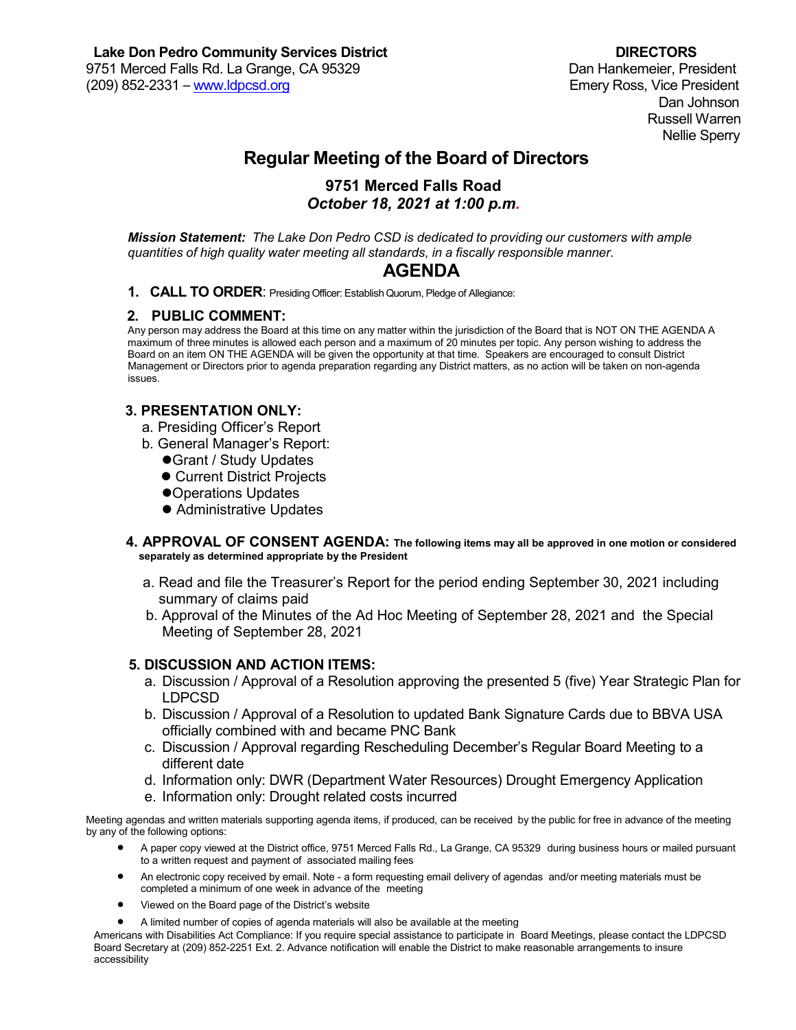Dan Johnson Russell Warren Nellie Sperry

# **Regular Meeting of the Board of Directors**

### **9751 Merced Falls Road** *October 18, 2021 at 1:00 p.m.*

*Mission Statement: The Lake Don Pedro CSD is dedicated to providing our customers with ample quantities of high quality water meeting all standards, in a fiscally responsible manner.*

## **AGENDA**

**1. CALL TO ORDER**: Presiding Officer: Establish Quorum, Pledge of Allegiance:

#### **2. PUBLIC COMMENT:**

Any person may address the Board at this time on any matter within the jurisdiction of the Board that is NOT ON THE AGENDA A maximum of three minutes is allowed each person and a maximum of 20 minutes per topic. Any person wishing to address the Board on an item ON THE AGENDA will be given the opportunity at that time. Speakers are encouraged to consult District Management or Directors prior to agenda preparation regarding any District matters, as no action will be taken on non-agenda issues.

#### **3. PRESENTATION ONLY:**

- a. Presiding Officer's Report
- b. General Manager's Report:
	- Grant / Study Updates
	- Current District Projects
	- Operations Updates
	- Administrative Updates
- **4. APPROVAL OF CONSENT AGENDA: The following items may all be approved in one motion or considered separately as determined appropriate by the President** 
	- a. Read and file the Treasurer's Report for the period ending September 30, 2021 including summary of claims paid
	- b. Approval of the Minutes of the Ad Hoc Meeting of September 28, 2021 and the Special Meeting of September 28, 2021

#### **5. DISCUSSION AND ACTION ITEMS:**

- a. Discussion / Approval of a Resolution approving the presented 5 (five) Year Strategic Plan for LDPCSD
- b. Discussion / Approval of a Resolution to updated Bank Signature Cards due to BBVA USA officially combined with and became PNC Bank
- c. Discussion / Approval regarding Rescheduling December's Regular Board Meeting to a different date
- d. Information only: DWR (Department Water Resources) Drought Emergency Application
- e. Information only: Drought related costs incurred

Meeting agendas and written materials supporting agenda items, if produced, can be received by the public for free in advance of the meeting by any of the following options:

- A paper copy viewed at the District office, 9751 Merced Falls Rd., La Grange, CA 95329 during business hours or mailed pursuant to a written request and payment of associated mailing fees
- An electronic copy received by email. Note a form requesting email delivery of agendas and/or meeting materials must be completed a minimum of one week in advance of the meeting
- Viewed on the Board page of the District's website
- A limited number of copies of agenda materials will also be available at the meeting

Americans with Disabilities Act Compliance: If you require special assistance to participate in Board Meetings, please contact the LDPCSD Board Secretary at (209) 852-2251 Ext. 2. Advance notification will enable the District to make reasonable arrangements to insure accessibility